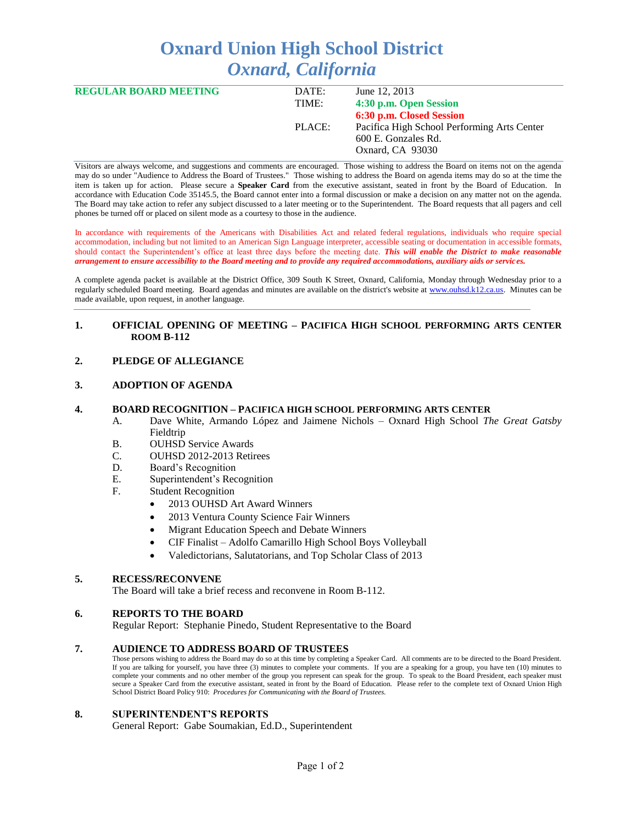# **Oxnard Union High School District** *Oxnard, California*

| <b>REGULAR BOARD MEETING</b> | DATE:  | June 12, 2013                               |
|------------------------------|--------|---------------------------------------------|
|                              | TIME:  | 4:30 p.m. Open Session                      |
|                              |        | 6:30 p.m. Closed Session                    |
|                              | PLACE: | Pacifica High School Performing Arts Center |
|                              |        | 600 E. Gonzales Rd.                         |
|                              |        | Oxnard, CA 93030                            |
|                              |        |                                             |

Visitors are always welcome, and suggestions and comments are encouraged. Those wishing to address the Board on items not on the agenda may do so under "Audience to Address the Board of Trustees." Those wishing to address the Board on agenda items may do so at the time the item is taken up for action. Please secure a **Speaker Card** from the executive assistant, seated in front by the Board of Education. In accordance with Education Code 35145.5, the Board cannot enter into a formal discussion or make a decision on any matter not on the agenda. The Board may take action to refer any subject discussed to a later meeting or to the Superintendent. The Board requests that all pagers and cell phones be turned off or placed on silent mode as a courtesy to those in the audience.

In accordance with requirements of the Americans with Disabilities Act and related federal regulations, individuals who require special accommodation, including but not limited to an American Sign Language interpreter, accessible seating or documentation in accessible formats, should contact the Superintendent's office at least three days before the meeting date. *This will enable the District to make reasonable arrangement to ensure accessibility to the Board meeting and to provide any required accommodations, auxiliary aids or services.* 

A complete agenda packet is available at the District Office, 309 South K Street, Oxnard, California, Monday through Wednesday prior to a regularly scheduled Board meeting. Board agendas and minutes are available on the district's website at [www.ouhsd.k12.ca.us.](http://www.ouhsd.k12.ca.us/)Minutes can be made available, upon request, in another language.

#### **1. OFFICIAL OPENING OF MEETING – PACIFICA HIGH SCHOOL PERFORMING ARTS CENTER ROOM B-112**

## **2. PLEDGE OF ALLEGIANCE**

#### **3. ADOPTION OF AGENDA**

#### **4. BOARD RECOGNITION – PACIFICA HIGH SCHOOL PERFORMING ARTS CENTER**

- A. Dave White, Armando López and Jaimene Nichols Oxnard High School *The Great Gatsby* Fieldtrip
- B. OUHSD Service Awards
- C. OUHSD 2012-2013 Retirees
- D. Board's Recognition
- E. Superintendent's Recognition
- F. Student Recognition
	- 2013 OUHSD Art Award Winners
	- 2013 Ventura County Science Fair Winners
	- Migrant Education Speech and Debate Winners
	- CIF Finalist Adolfo Camarillo High School Boys Volleyball
	- Valedictorians, Salutatorians, and Top Scholar Class of 2013

# **5. RECESS/RECONVENE**

The Board will take a brief recess and reconvene in Room B-112.

## **6. REPORTS TO THE BOARD**

Regular Report: Stephanie Pinedo, Student Representative to the Board

#### **7. AUDIENCE TO ADDRESS BOARD OF TRUSTEES**

Those persons wishing to address the Board may do so at this time by completing a Speaker Card. All comments are to be directed to the Board President. If you are talking for yourself, you have three (3) minutes to complete your comments. If you are a speaking for a group, you have ten (10) minutes to complete your comments and no other member of the group you represent can speak for the group. To speak to the Board President, each speaker must secure a Speaker Card from the executive assistant, seated in front by the Board of Education. Please refer to the complete text of Oxnard Union High School District Board Policy 910: *Procedures for Communicating with the Board of Trustees.*

#### **8. SUPERINTENDENT'S REPORTS**

General Report: Gabe Soumakian, Ed.D., Superintendent